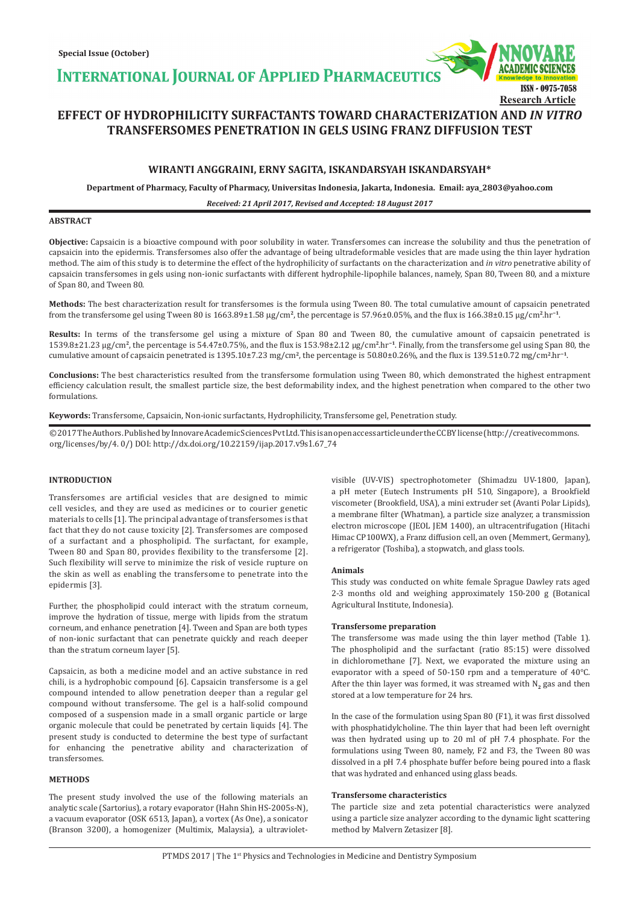**INTERNATIONAL JOURNAL OF APPLIED PHARMACEUTICS** 



# **EFFECT OF HYDROPHILICITY SURFACTANTS TOWARD CHARACTERIZATION AND** *IN VITRO*  **TRANSFERSOMES PENETRATION IN GELS USING FRANZ DIFFUSION TEST**

# **WIRANTI ANGGRAINI, ERNY SAGITA, ISKANDARSYAH ISKANDARSYAH\***

**Department of Pharmacy, Faculty of Pharmacy, Universitas Indonesia, Jakarta, Indonesia. Email: aya\_2803@yahoo.com**

# *Received: 21 April 2017, Revised and Accepted: 18 August 2017*

# **ABSTRACT**

**Objective:** Capsaicin is a bioactive compound with poor solubility in water. Transfersomes can increase the solubility and thus the penetration of capsaicin into the epidermis. Transfersomes also offer the advantage of being ultradeformable vesicles that are made using the thin layer hydration method. The aim of this study is to determine the effect of the hydrophilicity of surfactants on the characterization and *in vitro* penetrative ability of capsaicin transfersomes in gels using non-ionic surfactants with different hydrophile-lipophile balances, namely, Span 80, Tween 80, and a mixture of Span 80, and Tween 80.

**Methods:** The best characterization result for transfersomes is the formula using Tween 80. The total cumulative amount of capsaicin penetrated from the transfersome gel using Tween 80 is 1663.89±1.58 mg/cm**<sup>2</sup>**, the percentage is 57.96±0.05%, and the flux is 166.38±0.15 µg/cm**<sup>2</sup>**.hr**−1**.

**Results:** In terms of the transfersome gel using a mixture of Span 80 and Tween 80, the cumulative amount of capsaicin penetrated is 1539.8±21.23 µg/cm**<sup>2</sup>**, the percentage is 54.47±0.75%, and the flux is 153.98±2.12 µg/cm**<sup>2</sup>**.hr**−1**. Finally, from the transfersome gel using Span 80, the cumulative amount of capsaicin penetrated is 1395.10±7.23 mg/cm**<sup>2</sup>**, the percentage is 50.80±0.26%, and the flux is 139.51±0.72 mg/cm**<sup>2</sup>**.hr**−1**.

**Conclusions:** The best characteristics resulted from the transfersome formulation using Tween 80, which demonstrated the highest entrapment efficiency calculation result, the smallest particle size, the best deformability index, and the highest penetration when compared to the other two formulations.

**Keywords:** Transfersome, Capsaicin, Non-ionic surfactants, Hydrophilicity, Transfersome gel, Penetration study.

© 2017 The Authors. Published by Innovare Academic Sciences Pvt Ltd. This is an open access article under the CC BY license (http://creativecommons. org/licenses/by/4. 0/) DOI: http://dx.doi.org/10.22159/ijap.2017.v9s1.67\_74

# **INTRODUCTION**

Transfersomes are artificial vesicles that are designed to mimic cell vesicles, and they are used as medicines or to courier genetic materials to cells [1]. The principal advantage of transfersomes is that fact that they do not cause toxicity [2]. Transfersomes are composed of a surfactant and a phospholipid. The surfactant, for example, Tween 80 and Span 80, provides flexibility to the transfersome [2]. Such flexibility will serve to minimize the risk of vesicle rupture on the skin as well as enabling the transfersome to penetrate into the epidermis [3].

Further, the phospholipid could interact with the stratum corneum, improve the hydration of tissue, merge with lipids from the stratum corneum, and enhance penetration [4]. Tween and Span are both types of non-ionic surfactant that can penetrate quickly and reach deeper than the stratum corneum layer [5].

Capsaicin, as both a medicine model and an active substance in red chili, is a hydrophobic compound [6]. Capsaicin transfersome is a gel compound intended to allow penetration deeper than a regular gel compound without transfersome. The gel is a half-solid compound composed of a suspension made in a small organic particle or large organic molecule that could be penetrated by certain liquids [4]. The present study is conducted to determine the best type of surfactant for enhancing the penetrative ability and characterization of transfersomes.

# **METHODS**

The present study involved the use of the following materials an analytic scale (Sartorius), a rotary evaporator (Hahn Shin HS-2005s-N), a vacuum evaporator (OSK 6513, Japan), a vortex (As One), a sonicator (Branson 3200), a homogenizer (Multimix, Malaysia), a ultravioletvisible (UV-VIS) spectrophotometer (Shimadzu UV-1800, Japan), a pH meter (Eutech Instruments pH 510, Singapore), a Brookfield viscometer (Brookfield, USA), a mini extruder set (Avanti Polar Lipids), a membrane filter (Whatman), a particle size analyzer, a transmission electron microscope (JEOL JEM 1400), an ultracentrifugation (Hitachi Himac CP100WX), a Franz diffusion cell, an oven (Memmert, Germany), a refrigerator (Toshiba), a stopwatch, and glass tools.

### **Animals**

This study was conducted on white female Sprague Dawley rats aged 2-3 months old and weighing approximately 150-200 g (Botanical Agricultural Institute, Indonesia).

### **Transfersome preparation**

The transfersome was made using the thin layer method (Table 1). The phospholipid and the surfactant (ratio 85:15) were dissolved in dichloromethane [7]. Next, we evaporated the mixture using an evaporator with a speed of 50-150 rpm and a temperature of 40°C. After the thin layer was formed, it was streamed with N<sub>2</sub> gas and then stored at a low temperature for 24 hrs.

In the case of the formulation using Span 80 (F1), it was first dissolved with phosphatidylcholine. The thin layer that had been left overnight was then hydrated using up to 20 ml of pH 7.4 phosphate. For the formulations using Tween 80, namely, F2 and F3, the Tween 80 was dissolved in a pH 7.4 phosphate buffer before being poured into a flask that was hydrated and enhanced using glass beads.

# **Transfersome characteristics**

The particle size and zeta potential characteristics were analyzed using a particle size analyzer according to the dynamic light scattering method by Malvern Zetasizer [8].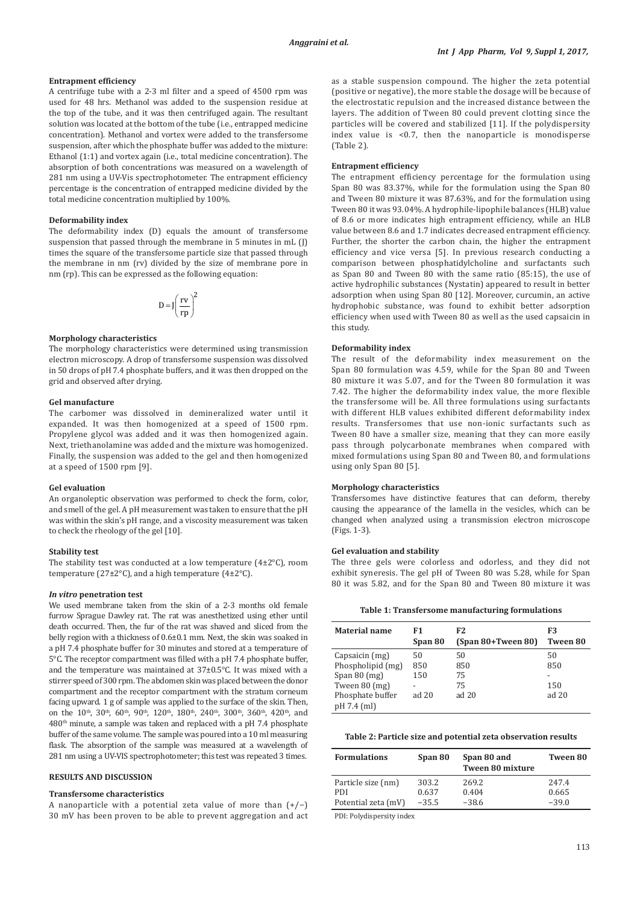### **Entrapment efficiency**

A centrifuge tube with a 2-3 ml filter and a speed of 4500 rpm was used for 48 hrs. Methanol was added to the suspension residue at the top of the tube, and it was then centrifuged again. The resultant solution was located at the bottom of the tube (i.e., entrapped medicine concentration). Methanol and vortex were added to the transfersome suspension, after which the phosphate buffer was added to the mixture: Ethanol (1:1) and vortex again (i.e., total medicine concentration). The absorption of both concentrations was measured on a wavelength of 281 nm using a UV-Vis spectrophotometer. The entrapment efficiency percentage is the concentration of entrapped medicine divided by the total medicine concentration multiplied by 100%.

### **Deformability index**

The deformability index (D) equals the amount of transfersome suspension that passed through the membrane in 5 minutes in mL (J) times the square of the transfersome particle size that passed through the membrane in nm (rv) divided by the size of membrane pore in nm (rp). This can be expressed as the following equation:

$$
D = J \left( \frac{rv}{rp} \right)^2
$$

### **Morphology characteristics**

The morphology characteristics were determined using transmission electron microscopy. A drop of transfersome suspension was dissolved in 50 drops of pH 7.4 phosphate buffers, and it was then dropped on the grid and observed after drying.

#### **Gel manufacture**

The carbomer was dissolved in demineralized water until it expanded. It was then homogenized at a speed of 1500 rpm. Propylene glycol was added and it was then homogenized again. Next, triethanolamine was added and the mixture was homogenized. Finally, the suspension was added to the gel and then homogenized at a speed of 1500 rpm [9].

## **Gel evaluation**

An organoleptic observation was performed to check the form, color, and smell of the gel. A pH measurement was taken to ensure that the pH was within the skin's pH range, and a viscosity measurement was taken to check the rheology of the gel [10].

#### **Stability test**

The stability test was conducted at a low temperature  $(4\pm2^{\circ}C)$ , room temperature (27±2°C), and a high temperature (4±2°C).

# *In vitro* **penetration test**

We used membrane taken from the skin of a 2-3 months old female furrow Sprague Dawley rat. The rat was anesthetized using ether until death occurred. Then, the fur of the rat was shaved and sliced from the belly region with a thickness of 0.6±0.1 mm. Next, the skin was soaked in a pH 7.4 phosphate buffer for 30 minutes and stored at a temperature of 5°C. The receptor compartment was filled with a pH 7.4 phosphate buffer, and the temperature was maintained at 37±0.5°C. It was mixed with a stirrer speed of 300 rpm. The abdomen skin was placed between the donor compartment and the receptor compartment with the stratum corneum facing upward. 1 g of sample was applied to the surface of the skin. Then, on the 10<sup>th</sup>, 30<sup>th</sup>, 60<sup>th</sup>, 90<sup>th</sup>, 120<sup>th</sup>, 180<sup>th</sup>, 240<sup>th</sup>, 300<sup>th</sup>, 360<sup>th</sup>, 420<sup>th</sup>, and 480th minute, a sample was taken and replaced with a pH 7.4 phosphate buffer of the same volume. The sample was poured into a 10 ml measuring flask. The absorption of the sample was measured at a wavelength of 281 nm using a UV-VIS spectrophotometer; this test was repeated 3 times.

### **RESULTS AND DISCUSSION**

# **Transfersome characteristics**

A nanoparticle with a potential zeta value of more than (+/−) 30 mV has been proven to be able to prevent aggregation and act as a stable suspension compound. The higher the zeta potential (positive or negative), the more stable the dosage will be because of the electrostatic repulsion and the increased distance between the layers. The addition of Tween 80 could prevent clotting since the particles will be covered and stabilized [11]. If the polydispersity index value is <0.7, then the nanoparticle is monodisperse (Table 2).

### **Entrapment efficiency**

The entrapment efficiency percentage for the formulation using Span 80 was 83.37%, while for the formulation using the Span 80 and Tween 80 mixture it was 87.63%, and for the formulation using Tween 80 it was 93.04%. A hydrophile-lipophile balances (HLB) value of 8.6 or more indicates high entrapment efficiency, while an HLB value between 8.6 and 1.7 indicates decreased entrapment efficiency. Further, the shorter the carbon chain, the higher the entrapment efficiency and vice versa [5]. In previous research conducting a comparison between phosphatidylcholine and surfactants such as Span 80 and Tween 80 with the same ratio (85:15), the use of active hydrophilic substances (Nystatin) appeared to result in better adsorption when using Span 80 [12]. Moreover, curcumin, an active hydrophobic substance, was found to exhibit better adsorption efficiency when used with Tween 80 as well as the used capsaicin in this study.

### **Deformability index**

The result of the deformability index measurement on the Span 80 formulation was 4.59, while for the Span 80 and Tween 80 mixture it was 5.07, and for the Tween 80 formulation it was 7.42. The higher the deformability index value, the more flexible the transfersome will be. All three formulations using surfactants with different HLB values exhibited different deformability index results. Transfersomes that use non-ionic surfactants such as Tween 80 have a smaller size, meaning that they can more easily pass through polycarbonate membranes when compared with mixed formulations using Span 80 and Tween 80, and formulations using only Span 80 [5].

## **Morphology characteristics**

Transfersomes have distinctive features that can deform, thereby causing the appearance of the lamella in the vesicles, which can be changed when analyzed using a transmission electron microscope (Figs. 1-3).

## **Gel evaluation and stability**

The three gels were colorless and odorless, and they did not exhibit syneresis. The gel pH of Tween 80 was 5.28, while for Span 80 it was 5.82, and for the Span 80 and Tween 80 mixture it was

| Table 1: Transfersome manufacturing formulations |  |  |
|--------------------------------------------------|--|--|
|--------------------------------------------------|--|--|

| <b>Material name</b> | F1<br>Span 80 | F2<br>$(Span 80+Twoen 80)$ | F3<br><b>Tween 80</b> |
|----------------------|---------------|----------------------------|-----------------------|
| Capsaicin (mg)       | 50            | 50                         | 50                    |
| Phospholipid (mg)    | 850           | 850                        | 850                   |
| Span $80$ (mg)       | 150           | 75                         |                       |
| Tween 80 (mg)        |               | 75                         | 150                   |
| Phosphate buffer     | ad $20$       | ad $20$                    | ad $20$               |
| pH 7.4 (ml)          |               |                            |                       |

#### **Table 2: Particle size and potential zeta observation results**

| <b>Formulations</b> | Span 80 | Span 80 and<br><b>Tween 80 mixture</b> | Tween 80 |
|---------------------|---------|----------------------------------------|----------|
| Particle size (nm)  | 303.2   | 269.2                                  | 247.4    |
| PDI                 | 0.637   | 0.404                                  | 0.665    |
| Potential zeta (mV) | $-35.5$ | $-38.6$                                | $-39.0$  |

PDI: Polydispersity index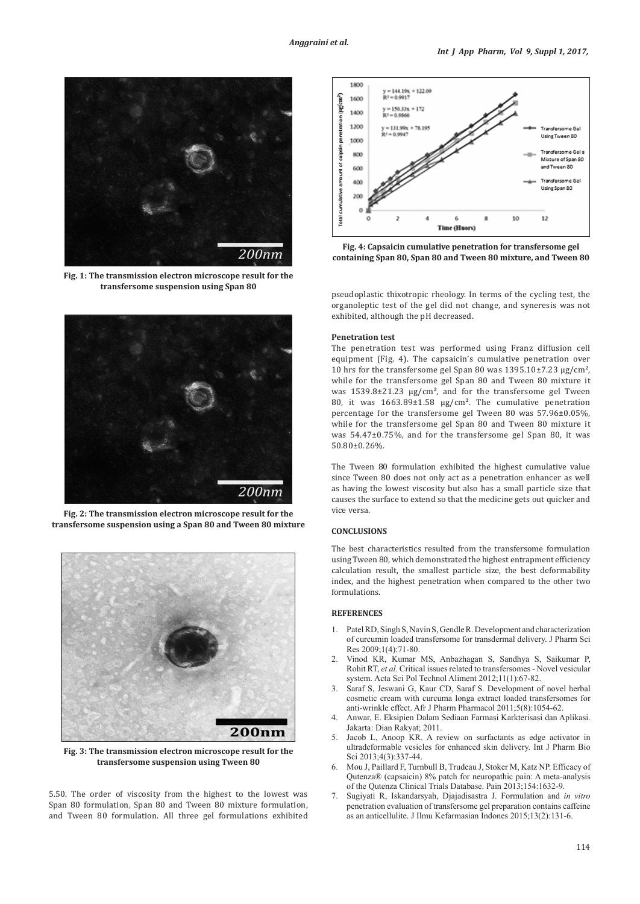

**Fig. 1: The transmission electron microscope result for the transfersome suspension using Span 80**



**Fig. 2: The transmission electron microscope result for the transfersome suspension using a Span 80 and Tween 80 mixture**



**Fig. 3: The transmission electron microscope result for the transfersome suspension using Tween 80** 

5.50. The order of viscosity from the highest to the lowest was Span 80 formulation, Span 80 and Tween 80 mixture formulation, and Tween 80 formulation. All three gel formulations exhibited



**Fig. 4: Capsaicin cumulative penetration for transfersome gel containing Span 80, Span 80 and Tween 80 mixture, and Tween 80**

pseudoplastic thixotropic rheology. In terms of the cycling test*,* the organoleptic test of the gel did not change, and syneresis was not exhibited, although the pH decreased.

### **Penetration test**

The penetration test was performed using Franz diffusion cell equipment (Fig. 4). The capsaicin's cumulative penetration over 10 hrs for the transfersome gel Span 80 was 1395.10±7.23 µg/cm**<sup>2</sup>**, while for the transfersome gel Span 80 and Tween 80 mixture it was 1539.8±21.23 µg/cm**<sup>2</sup>**, and for the transfersome gel Tween 80, it was 1663.89±1.58 µg/cm**<sup>2</sup>**. The cumulative penetration percentage for the transfersome gel Tween 80 was 57.96±0.05%, while for the transfersome gel Span 80 and Tween 80 mixture it was 54.47±0.75%, and for the transfersome gel Span 80, it was 50.80±0.26%.

The Tween 80 formulation exhibited the highest cumulative value since Tween 80 does not only act as a penetration enhancer as well as having the lowest viscosity but also has a small particle size that causes the surface to extend so that the medicine gets out quicker and vice versa.

# **CONCLUSIONS**

The best characteristics resulted from the transfersome formulation using Tween 80, which demonstrated the highest entrapment efficiency calculation result, the smallest particle size, the best deformability index, and the highest penetration when compared to the other two formulations.

### **REFERENCES**

- 1. Patel RD, Singh S, Navin S, Gendle R. Development and characterization of curcumin loaded transfersome for transdermal delivery. J Pharm Sci Res 2009;1(4):71-80.
- 2. Vinod KR, Kumar MS, Anbazhagan S, Sandhya S, Saikumar P, Rohit RT, *et al.* Critical issues related to transfersomes - Novel vesicular system. Acta Sci Pol Technol Aliment 2012;11(1):67-82.
- 3. Saraf S, Jeswani G, Kaur CD, Saraf S. Development of novel herbal cosmetic cream with curcuma longa extract loaded transfersomes for anti-wrinkle effect. Afr J Pharm Pharmacol 2011;5(8):1054-62.
- 4. Anwar, E. Eksipien Dalam Sediaan Farmasi Karkterisasi dan Aplikasi. Jakarta: Dian Rakyat; 2011.
- 5. Jacob L, Anoop KR. A review on surfactants as edge activator in ultradeformable vesicles for enhanced skin delivery. Int J Pharm Bio Sci 2013;4(3):337-44.
- 6. Mou J, Paillard F, Turnbull B, Trudeau J, Stoker M, Katz NP. Efficacy of Qutenza® (capsaicin) 8% patch for neuropathic pain: A meta-analysis of the Qutenza Clinical Trials Database. Pain 2013;154:1632-9.
- 7. Sugiyati R, Iskandarsyah, Djajadisastra J. Formulation and *in vitro* penetration evaluation of transfersome gel preparation contains caffeine as an anticellulite. J Ilmu Kefarmasian Indones 2015;13(2):131-6.